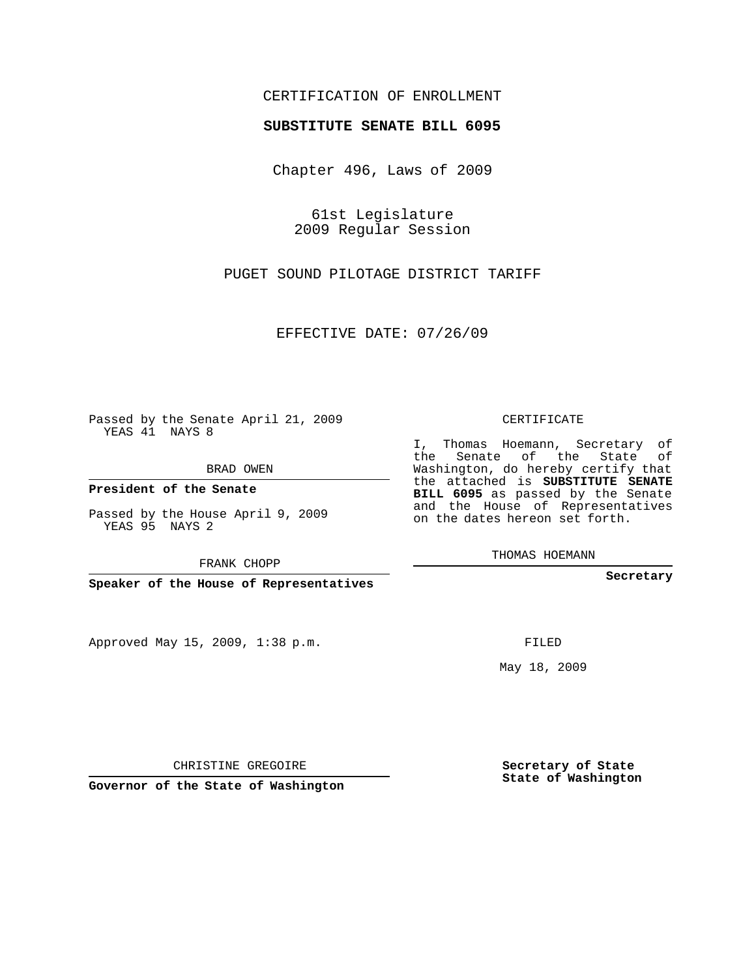## CERTIFICATION OF ENROLLMENT

## **SUBSTITUTE SENATE BILL 6095**

Chapter 496, Laws of 2009

61st Legislature 2009 Regular Session

PUGET SOUND PILOTAGE DISTRICT TARIFF

EFFECTIVE DATE: 07/26/09

Passed by the Senate April 21, 2009 YEAS 41 NAYS 8

BRAD OWEN

**President of the Senate**

Passed by the House April 9, 2009 YEAS 95 NAYS 2

FRANK CHOPP

**Speaker of the House of Representatives**

Approved May 15, 2009, 1:38 p.m.

CERTIFICATE

I, Thomas Hoemann, Secretary of the Senate of the State of Washington, do hereby certify that the attached is **SUBSTITUTE SENATE BILL 6095** as passed by the Senate and the House of Representatives on the dates hereon set forth.

THOMAS HOEMANN

**Secretary**

FILED

May 18, 2009

**Secretary of State State of Washington**

CHRISTINE GREGOIRE

**Governor of the State of Washington**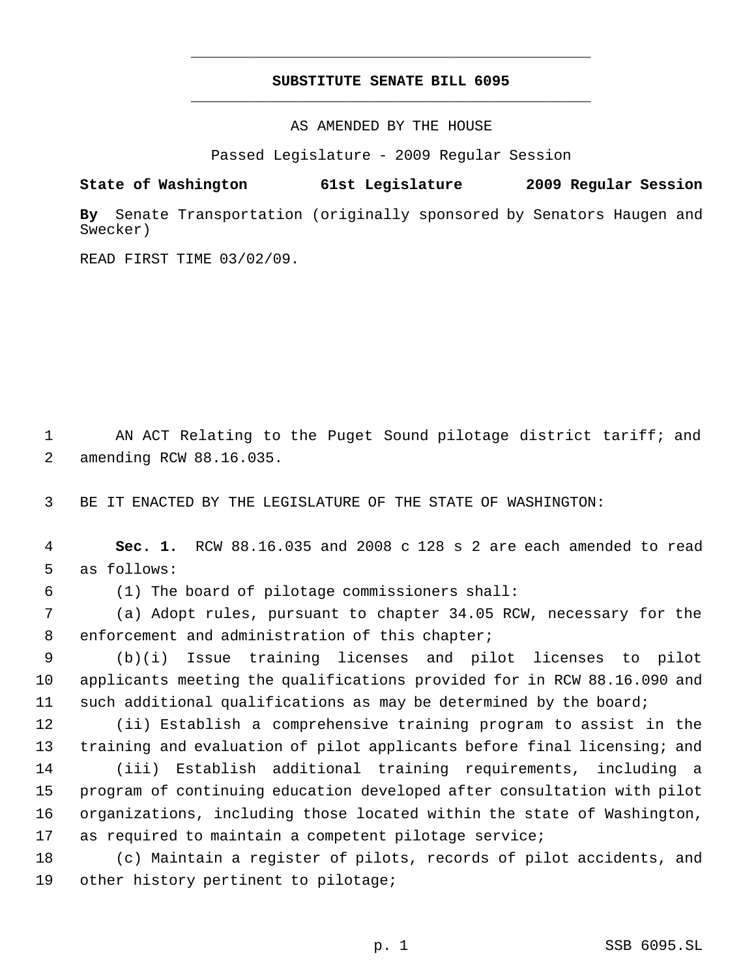## **SUBSTITUTE SENATE BILL 6095** \_\_\_\_\_\_\_\_\_\_\_\_\_\_\_\_\_\_\_\_\_\_\_\_\_\_\_\_\_\_\_\_\_\_\_\_\_\_\_\_\_\_\_\_\_

\_\_\_\_\_\_\_\_\_\_\_\_\_\_\_\_\_\_\_\_\_\_\_\_\_\_\_\_\_\_\_\_\_\_\_\_\_\_\_\_\_\_\_\_\_

AS AMENDED BY THE HOUSE

Passed Legislature - 2009 Regular Session

**State of Washington 61st Legislature 2009 Regular Session**

**By** Senate Transportation (originally sponsored by Senators Haugen and Swecker)

READ FIRST TIME 03/02/09.

 1 AN ACT Relating to the Puget Sound pilotage district tariff; and 2 amending RCW 88.16.035.

3 BE IT ENACTED BY THE LEGISLATURE OF THE STATE OF WASHINGTON:

 4 **Sec. 1.** RCW 88.16.035 and 2008 c 128 s 2 are each amended to read 5 as follows:

6 (1) The board of pilotage commissioners shall:

 7 (a) Adopt rules, pursuant to chapter 34.05 RCW, necessary for the 8 enforcement and administration of this chapter;

 9 (b)(i) Issue training licenses and pilot licenses to pilot 10 applicants meeting the qualifications provided for in RCW 88.16.090 and 11 such additional qualifications as may be determined by the board;

 (ii) Establish a comprehensive training program to assist in the 13 training and evaluation of pilot applicants before final licensing; and (iii) Establish additional training requirements, including a program of continuing education developed after consultation with pilot organizations, including those located within the state of Washington, as required to maintain a competent pilotage service;

18 (c) Maintain a register of pilots, records of pilot accidents, and 19 other history pertinent to pilotage;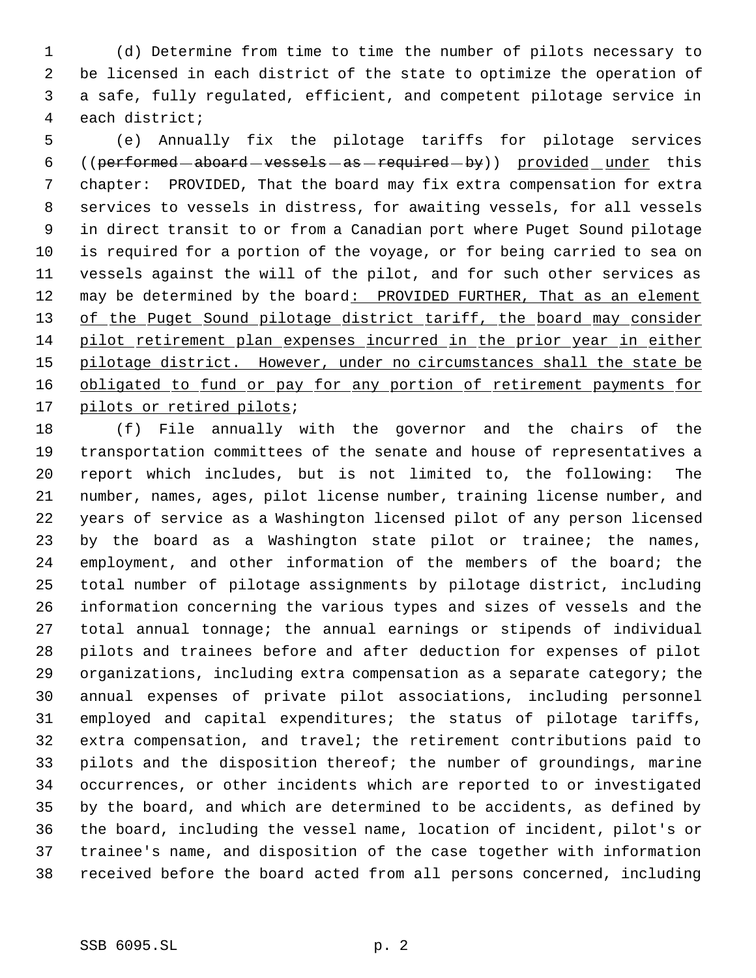(d) Determine from time to time the number of pilots necessary to be licensed in each district of the state to optimize the operation of a safe, fully regulated, efficient, and competent pilotage service in each district;

 (e) Annually fix the pilotage tariffs for pilotage services 6 ((performed - aboard - vessels - as - required - by)) provided \_ under this chapter: PROVIDED, That the board may fix extra compensation for extra services to vessels in distress, for awaiting vessels, for all vessels in direct transit to or from a Canadian port where Puget Sound pilotage is required for a portion of the voyage, or for being carried to sea on vessels against the will of the pilot, and for such other services as 12 may be determined by the board: PROVIDED FURTHER, That as an element 13 of the Puget Sound pilotage district tariff, the board may consider pilot retirement plan expenses incurred in the prior year in either 15 pilotage district. However, under no circumstances shall the state be 16 obligated to fund or pay for any portion of retirement payments for 17 pilots or retired pilots;

 (f) File annually with the governor and the chairs of the transportation committees of the senate and house of representatives a report which includes, but is not limited to, the following: The number, names, ages, pilot license number, training license number, and years of service as a Washington licensed pilot of any person licensed by the board as a Washington state pilot or trainee; the names, employment, and other information of the members of the board; the total number of pilotage assignments by pilotage district, including information concerning the various types and sizes of vessels and the total annual tonnage; the annual earnings or stipends of individual pilots and trainees before and after deduction for expenses of pilot organizations, including extra compensation as a separate category; the annual expenses of private pilot associations, including personnel employed and capital expenditures; the status of pilotage tariffs, extra compensation, and travel; the retirement contributions paid to pilots and the disposition thereof; the number of groundings, marine occurrences, or other incidents which are reported to or investigated by the board, and which are determined to be accidents, as defined by the board, including the vessel name, location of incident, pilot's or trainee's name, and disposition of the case together with information received before the board acted from all persons concerned, including